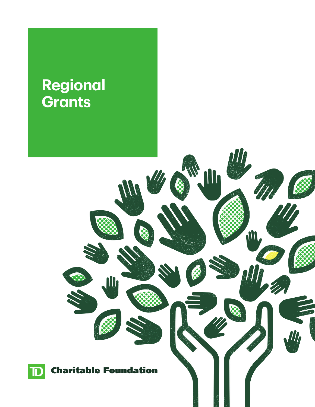# **Regional Grants**



**III** 

M

an.

 $\boldsymbol{d}$ 

**RE**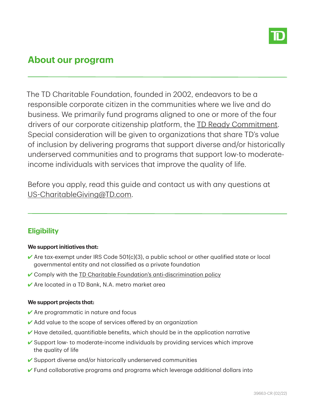

# **About our program**

- underserved communities and to programs that support low-to moderate The TD Charitable Foundation, founded in 2002, endeavors to be a responsible corporate citizen in the communities where we live and do business. We primarily fund programs aligned to one or more of the four drivers of our corporate citizenship platform, the TD Ready [Commitment.](https://www.td.com/us/en/about-us/communities/ready-commitment/) Special consideration will be given to organizations that share TD's value of inclusion by delivering programs that support diverse and/or historically income individuals with services that improve the quality of life.

 Before you apply, read this guide and contact us with any questions at [US-CharitableGiving@TD.com](mailto: US-CharitableGiving@TD.com).

# **Eligibility**

### **We supportinitiatives that:**

- $\blacktriangleright$  Are tax-exempt under IRS Code 501(c)(3), a public school or other qualified state or local governmental entity and not classified as a private foundation
- Comply with the **TD Charitable Foundation's [anti-discrimination](#page-3-0) policy**
- 4 Are located in a TD Bank, N.A. metro market area

### **We support projects that:**

- **∕** Are programmatic in nature and focus
- ✔ Add value to the scope of services offered by an organization
- $\blacktriangleright$  Have detailed, quantifiable benefits, which should be in the application narrative
- ✔ Support low- to moderate-income individuals by providing services which improve the quality of life
- ✔ Support diverse and/or historically underserved communities
- 4 Fund collaborative programs and programs which leverage additional dollars into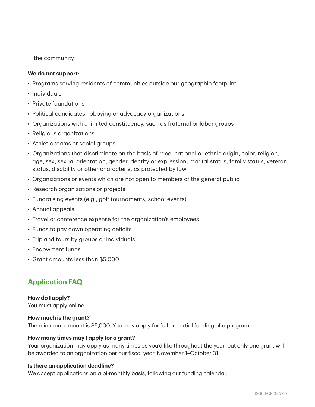the community

### **We do not support:**

- Programs serving residents of communities outside our geographic footprint
- Individuals
- Private foundations
- Political candidates, lobbying or advocacy organizations
- Organizations with a limited constituency, such as fraternal or labor groups
- Religious organizations
- Athletic teams or social groups
- Organizations that discriminate on the basis of race, national or ethnic origin, color, religion, age, sex, sexual orientation, gender identity or expression, marital status, family status, veteran status, disability or other characteristics protected by law
- Organizations or events which are not open to members of the general public
- Research organizations or projects
- Fundraising events (e.g., golf tournaments, school events)
- Annual appeals
- Travel or conference expense for the organization's employees
- Funds to pay down operating deficits
- Trip and tours by groups or individuals
- Endowment funds
- Grant amounts less than \$5,000

## **Application FAQ**

### **How do I apply?**

You must apply [online.](http://www.cybergrants.com/pls/cybergrants/quiz.display_question?x_gm_id=7402&x_quiz_id=9260&x_order_by=1)

#### **How much is the grant?**

The minimum amount is \$5,000. You may apply for full or partial funding of a program.

### **How many times may I apply for a grant?**

Your organization may apply as many times as you'd like throughout the year, but only one grant will be awarded to an organization per our fiscal year, November 1–October 31.

#### **Is there an application deadline?**

We accept applications on a bi-monthly basis, following our funding [calendar.](https://www.td.com/us/en/about-us/communities/ready-commitment/funding-opportunities/td-charitable-foundation/?tdtarget=grants)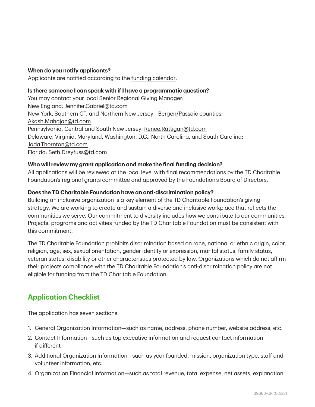### **When do you notify applicants?**

Applicants are notified according to the [funding calendar.](https://www.td.com/us/en/about-us/communities/ready-commitment/funding-opportunities/td-charitable-foundation/?tdtarget=grants)

### **Is there someone I can speak with if I have a programmatic question?**

You may contact your local Senior Regional Giving Manager: New England: [Jennifer.Gabriel@td.com](mailto:Jennifer.Gabriel@td.com) New York, Southern CT, and Northern New Jersey—Bergen/Passaic counties: [Akash.Mahajan@td.com](mailto:Akash.Mahajan@td.com) Pennsylvania, Central and South New Jersey: [Renee.Rattigan@td.com](mailto:Renee.Rattigan@td.com) Delaware, Virginia, Maryland, Washington, D.C., North Carolina, and South Carolina: [Jada.Thornton@td.com](mailto:Jada.Thornton@td.com) Florida: [Seth.Dreyfuss@td.com](mailto:Seth.Dreyfuss@td.com)

### **Who will review my grant application and make the final funding decision?**

All applications will be reviewed at the local level with final recommendations by the TD Charitable Foundation's regional grants committee and approved by the Foundation's Board of Directors.

### <span id="page-3-0"></span>**Does the TD Charitable Foundation have an anti-discrimination policy?**

Building an inclusive organization is a key element of the TD Charitable Foundation's giving strategy. We are working to create and sustain a diverse and inclusive workplace that reflects the communities we serve. Our commitment to diversity includes how we contribute to our communities. Projects, programs and activities funded by the TD Charitable Foundation must be consistent with this commitment.

The TD Charitable Foundation prohibits discrimination based on race, national or ethnic origin, color, religion, age, sex, sexual orientation, gender identity or expression, marital status, family status, veteran status, disability or other characteristics protected by law. Organizations which do not affirm their projects compliance with the TD Charitable Foundation's anti-discrimination policy are not eligible for funding from the TD Charitable Foundation.

### **Application Checklist**

The application has seven sections.

- 1. General Organization Information—such as name, address, phone number, website address, etc.
- 2. Contact Information—such as top executive information and request contact information if different
- 3. Additional Organization Information—such as year founded, mission, organization type, staff and volunteer information, etc.
- 4. Organization Financial Information—such as total revenue, total expense, net assets, explanation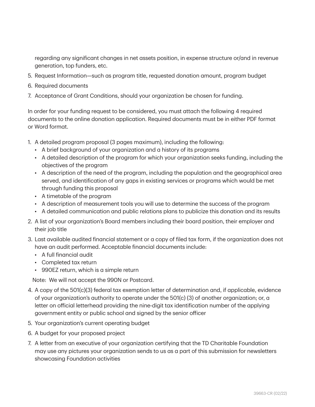regarding any significant changes in net assets position, in expense structure or/and in revenue generation, top funders, etc.

- 5. Request Information—such as program title, requested donation amount, program budget
- 6. Required documents
- 7. Acceptance of Grant Conditions, should your organization be chosen for funding.

In order for your funding request to be considered, you must attach the following 4 required documents to the online donation application. Required documents must be in either PDF format or Word format.

- 1. A detailed program proposal (3 pages maximum), including the following:
	- A brief background of your organization and a history of its programs
	- A detailed description of the program for which your organization seeks funding, including the objectives of the program
	- A description of the need of the program, including the population and the geographical area served, and identification of any gaps in existing services or programs which would be met through funding this proposal
	- A timetable of the program
	- A description of measurement tools you will use to determine the success of the program
	- A detailed communication and public relations plans to publicize this donation and its results
- 2. A list of your organization's Board members including their board position, their employer and their job title
- 3. Last available audited financial statement or a copy of filed tax form, if the organization does not have an audit performed. Acceptable financial documents include:
	- A full financial audit
	- Completed tax return
	- 990EZ return, which is a simple return

Note: We will not accept the 990N or Postcard.

- 4. A copy of the 501(c)(3) federal tax exemption letter of determination and, if applicable, evidence of your organization's authority to operate under the 501(c) (3) of another organization; or, a letter on official letterhead providing the nine-digit tax identification number of the applying government entity or public school and signed by the senior officer
- 5. Your organization's current operating budget
- 6. A budget for your proposed project
- 7. A letter from an executive of your organization certifying that the TD Charitable Foundation may use any pictures your organization sends to us as a part of this submission for newsletters showcasing Foundation activities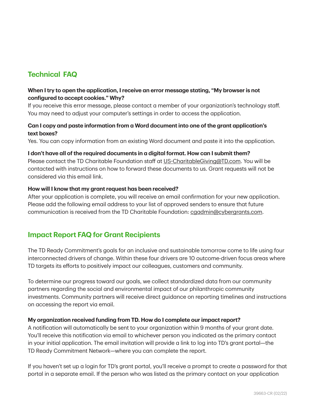# **Technical FAQ**

### **When Itry to open the application, I receive an error message stating, "My browser is not configured to accept cookies." Why?**

If you receive this error message, please contact a member of your organization's technology staff. You may need to adjust your computer's settings in order to access the application.

### **Can I copy and paste information from a Word document into one of the grant application's text boxes?**

Yes. You can copy information from an existing Word document and paste it into the application.

### **I don't have all ofthe required documents in a digitalformat. How can I submit them?**

Please contact the TD Charitable Foundation staff at [US-CharitableGiving@TD.com.](mailto: US-CharitableGiving@TD.com) You will be contacted with instructions on how to forward these documents to us. Grant requests will not be considered via this email link.

### **How will I know that my grant request has been received?**

After your application is complete, you will receive an email confirmation for your new application. Please add the following email address to your list of approved senders to ensure that future communication is received from the TD Charitable Foundation: [cgadmin@cybergrants.com.](mailto: cgadmin@cybergrants.com)

### **Impact Report FAQ for Grant Recipients**

The TD Ready Commitment's goals for an inclusive and sustainable tomorrow come to life using four interconnected drivers of change. Within these four drivers are 10 outcome-driven focus areas where TD targets its efforts to positively impact our colleagues, customers and community.

To determine our progress toward our goals, we collect standardized data from our community partners regarding the social and environmental impact of our philanthropic community investments. Community partners will receive direct guidance on reporting timelines and instructions on accessing the report via email.

### **My organization received funding from TD. How do I complete our impact report?**

A notification will automatically be sent to your organization within 9 months of your grant date. You'll receive this notification via email to whichever person you indicated as the primary contact in your initial application. The email invitation will provide a link to log into TD's grant portal—the TD Ready Commitment Network—where you can complete the report.

If you haven't set up a login for TD's grant portal, you'll receive a prompt to create a password for that portal in a separate email. If the person who was listed as the primary contact on your application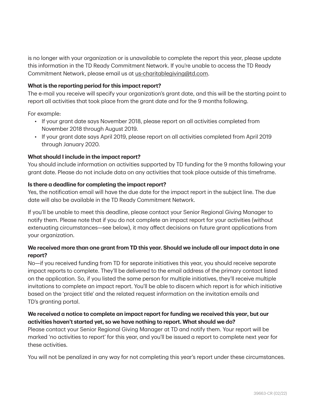is no longer with your organization or is unavailable to complete the report this year, please update this information in the TD Ready Commitment Network. If you're unable to access the TD Ready Commitment Network, please email us at [us-charitablegiving@td.com](mailto: US-CharitableGiving@TD.com).

### **What is the reporting period for this impact report?**

The e-mail you receive will specify your organization's grant date, and this will be the starting point to report all activities that took place from the grant date and for the 9 months following.

For example:

- If your grant date says November 2018, please report on all activities completed from November 2018 through August 2019.
- If your grant date says April 2019, please report on all activities completed from April 2019 through January 2020.

### **What should I include in the impact report?**

You should include information on activities supported by TD funding for the 9 months following your grant date. Please do not include data on any activities that took place outside of this timeframe.

### **Is there a deadline for completing the impact report?**

Yes, the notification email will have the due date for the impact report in the subject line. The due date will also be available in the TD Ready Commitment Network.

If you'll be unable to meet this deadline, please contact your Senior Regional Giving Manager to notify them. Please note that if you do not complete an impact report for your activities (without extenuating circumstances—see below), it may affect decisions on future grant applications from your organization.

### **We received more than one grantfrom TD this year. Should we include all our impact data in one report?**

No—if you received funding from TD for separate initiatives this year, you should receive separate impact reports to complete. They'll be delivered to the email address of the primary contact listed on the application. So, if you listed the same person for multiple initiatives, they'll receive multiple invitations to complete an impact report. You'll be able to discern which report is for which initiative based on the 'project title' and the related request information on the invitation emails and TD's granting portal.

### **We received a notice to complete an impact reportfor funding we received this year, but our activities haven't started yet, so we have nothing to report. What should we do?**

Please contact your Senior Regional Giving Manager at TD and notify them. Your report will be marked 'no activities to report' for this year, and you'll be issued a report to complete next year for these activities.

You will not be penalized in any way for not completing this year's report under these circumstances.